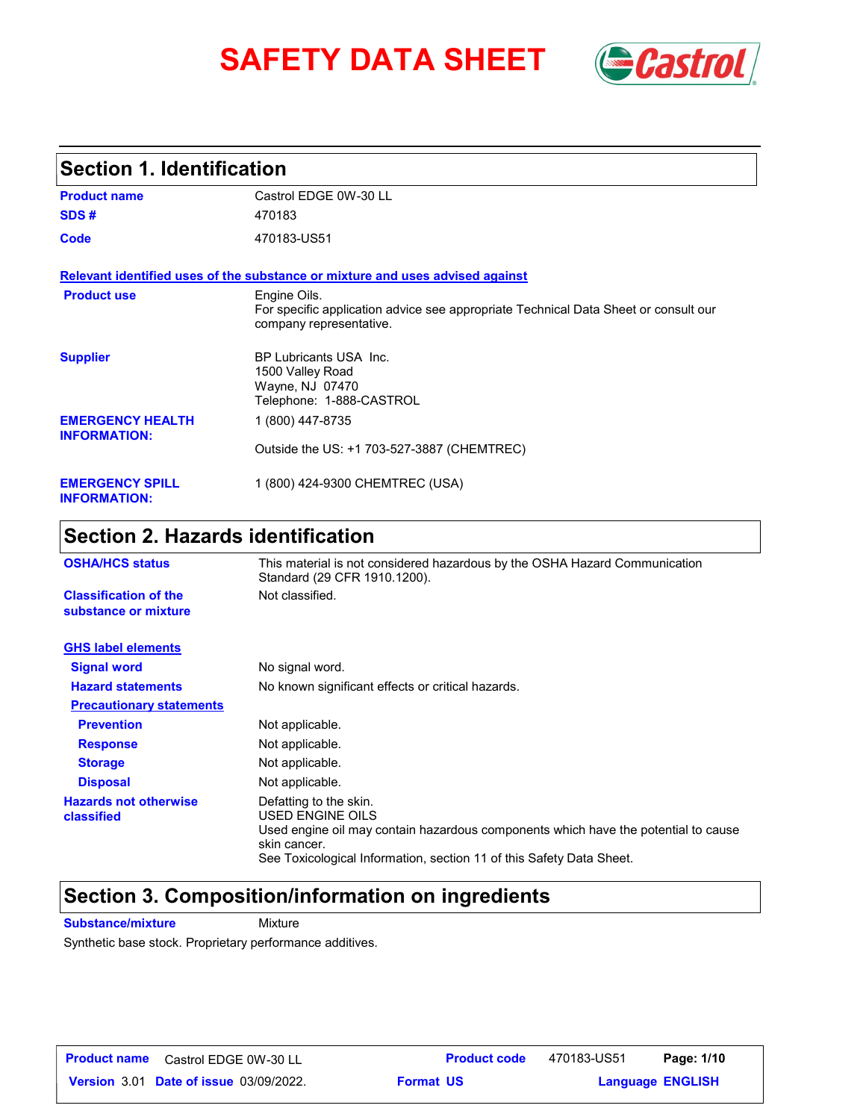# **SAFETY DATA SHEET** *Castrol*



### **Section 1. Identification**

| <b>Product name</b>                            | Castrol EDGE 0W-30 LL                                                                                                          |
|------------------------------------------------|--------------------------------------------------------------------------------------------------------------------------------|
| SDS#                                           | 470183                                                                                                                         |
| Code                                           | 470183-US51                                                                                                                    |
|                                                | Relevant identified uses of the substance or mixture and uses advised against                                                  |
| <b>Product use</b>                             | Engine Oils.<br>For specific application advice see appropriate Technical Data Sheet or consult our<br>company representative. |
| <b>Supplier</b>                                | <b>BP Lubricants USA Inc.</b><br>1500 Valley Road<br>Wayne, NJ 07470<br>Telephone: 1-888-CASTROL                               |
| <b>EMERGENCY HEALTH</b><br><b>INFORMATION:</b> | 1 (800) 447-8735                                                                                                               |
|                                                | Outside the US: +1 703-527-3887 (CHEMTREC)                                                                                     |
| <b>EMERGENCY SPILL</b><br><b>INFORMATION:</b>  | 1 (800) 424-9300 CHEMTREC (USA)                                                                                                |

### **Section 2. Hazards identification**

| <b>OSHA/HCS status</b>                               | This material is not considered hazardous by the OSHA Hazard Communication<br>Standard (29 CFR 1910.1200).                                                                                                               |
|------------------------------------------------------|--------------------------------------------------------------------------------------------------------------------------------------------------------------------------------------------------------------------------|
| <b>Classification of the</b><br>substance or mixture | Not classified.                                                                                                                                                                                                          |
| <b>GHS label elements</b>                            |                                                                                                                                                                                                                          |
| <b>Signal word</b>                                   | No signal word.                                                                                                                                                                                                          |
| <b>Hazard statements</b>                             | No known significant effects or critical hazards.                                                                                                                                                                        |
| <b>Precautionary statements</b>                      |                                                                                                                                                                                                                          |
| <b>Prevention</b>                                    | Not applicable.                                                                                                                                                                                                          |
| <b>Response</b>                                      | Not applicable.                                                                                                                                                                                                          |
| <b>Storage</b>                                       | Not applicable.                                                                                                                                                                                                          |
| <b>Disposal</b>                                      | Not applicable.                                                                                                                                                                                                          |
| <b>Hazards not otherwise</b><br>classified           | Defatting to the skin.<br>USED ENGINE OILS<br>Used engine oil may contain hazardous components which have the potential to cause<br>skin cancer.<br>See Toxicological Information, section 11 of this Safety Data Sheet. |

### **Section 3. Composition/information on ingredients**

**Substance/mixture Mixture** 

Synthetic base stock. Proprietary performance additives.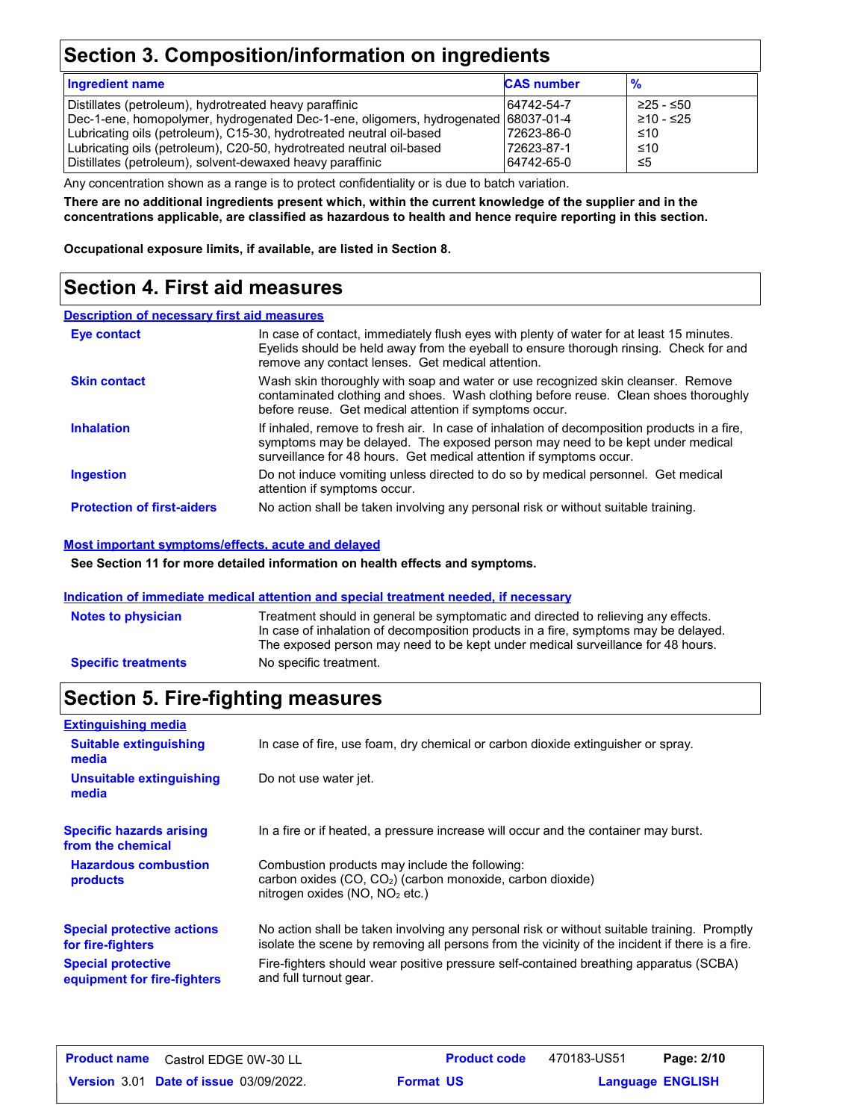### **Section 3. Composition/information on ingredients**

| <b>Ingredient name</b>                                                             | <b>CAS number</b> | $\frac{9}{6}$ |
|------------------------------------------------------------------------------------|-------------------|---------------|
| Distillates (petroleum), hydrotreated heavy paraffinic                             | 64742-54-7        | ≥25 - ≤50     |
| Dec-1-ene, homopolymer, hydrogenated Dec-1-ene, oligomers, hydrogenated 68037-01-4 |                   | $≥10 - ≤25$   |
| Lubricating oils (petroleum), C15-30, hydrotreated neutral oil-based               | 72623-86-0        | ≤10           |
| Lubricating oils (petroleum), C20-50, hydrotreated neutral oil-based               | 72623-87-1        | ≤10           |
| Distillates (petroleum), solvent-dewaxed heavy paraffinic                          | 64742-65-0        | ≤5            |

Any concentration shown as a range is to protect confidentiality or is due to batch variation.

**There are no additional ingredients present which, within the current knowledge of the supplier and in the concentrations applicable, are classified as hazardous to health and hence require reporting in this section.**

**Occupational exposure limits, if available, are listed in Section 8.**

### **Section 4. First aid measures**

#### **Description of necessary first aid measures**

| <b>Eye contact</b>                | In case of contact, immediately flush eyes with plenty of water for at least 15 minutes.<br>Eyelids should be held away from the eyeball to ensure thorough rinsing. Check for and<br>remove any contact lenses. Get medical attention.             |
|-----------------------------------|-----------------------------------------------------------------------------------------------------------------------------------------------------------------------------------------------------------------------------------------------------|
| <b>Skin contact</b>               | Wash skin thoroughly with soap and water or use recognized skin cleanser. Remove<br>contaminated clothing and shoes. Wash clothing before reuse. Clean shoes thoroughly<br>before reuse. Get medical attention if symptoms occur.                   |
| <b>Inhalation</b>                 | If inhaled, remove to fresh air. In case of inhalation of decomposition products in a fire,<br>symptoms may be delayed. The exposed person may need to be kept under medical<br>surveillance for 48 hours. Get medical attention if symptoms occur. |
| <b>Ingestion</b>                  | Do not induce vomiting unless directed to do so by medical personnel. Get medical<br>attention if symptoms occur.                                                                                                                                   |
| <b>Protection of first-aiders</b> | No action shall be taken involving any personal risk or without suitable training.                                                                                                                                                                  |

#### **Most important symptoms/effects, acute and delayed**

**See Section 11 for more detailed information on health effects and symptoms.**

#### **Indication of immediate medical attention and special treatment needed, if necessary**

| <b>Notes to physician</b>  | Treatment should in general be symptomatic and directed to relieving any effects.<br>In case of inhalation of decomposition products in a fire, symptoms may be delayed.<br>The exposed person may need to be kept under medical surveillance for 48 hours. |
|----------------------------|-------------------------------------------------------------------------------------------------------------------------------------------------------------------------------------------------------------------------------------------------------------|
| <b>Specific treatments</b> | No specific treatment.                                                                                                                                                                                                                                      |

### **Section 5. Fire-fighting measures**

| <b>Extinguishing media</b>                               |                                                                                                                                                                                                |
|----------------------------------------------------------|------------------------------------------------------------------------------------------------------------------------------------------------------------------------------------------------|
| <b>Suitable extinguishing</b><br>media                   | In case of fire, use foam, dry chemical or carbon dioxide extinguisher or spray.                                                                                                               |
| Unsuitable extinguishing<br>media                        | Do not use water jet.                                                                                                                                                                          |
| <b>Specific hazards arising</b><br>from the chemical     | In a fire or if heated, a pressure increase will occur and the container may burst.                                                                                                            |
| <b>Hazardous combustion</b><br>products                  | Combustion products may include the following:<br>carbon oxides $(CO, CO2)$ (carbon monoxide, carbon dioxide)<br>nitrogen oxides (NO, NO <sub>2</sub> etc.)                                    |
| <b>Special protective actions</b><br>for fire-fighters   | No action shall be taken involving any personal risk or without suitable training. Promptly<br>isolate the scene by removing all persons from the vicinity of the incident if there is a fire. |
| <b>Special protective</b><br>equipment for fire-fighters | Fire-fighters should wear positive pressure self-contained breathing apparatus (SCBA)<br>and full turnout gear.                                                                                |

| <b>Product name</b> Castrol EDGE 0W-30 LL     |                  | <b>Product code</b> | 470183-US51             | Page: 2/10 |  |
|-----------------------------------------------|------------------|---------------------|-------------------------|------------|--|
| <b>Version 3.01 Date of issue 03/09/2022.</b> | <b>Format US</b> |                     | <b>Language ENGLISH</b> |            |  |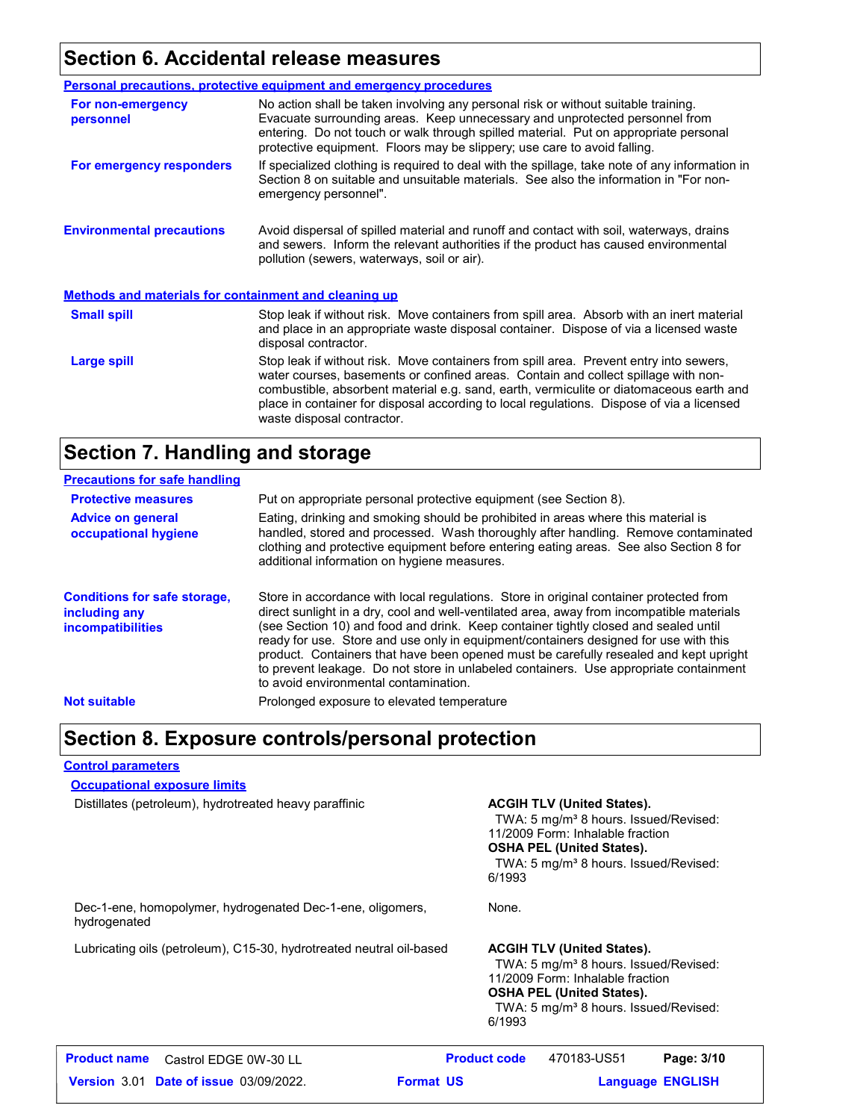### **Section 6. Accidental release measures**

|                                                       | <b>Personal precautions, protective equipment and emergency procedures</b>                                                                                                                                                                                                                                                                                                                         |
|-------------------------------------------------------|----------------------------------------------------------------------------------------------------------------------------------------------------------------------------------------------------------------------------------------------------------------------------------------------------------------------------------------------------------------------------------------------------|
| For non-emergency<br>personnel                        | No action shall be taken involving any personal risk or without suitable training.<br>Evacuate surrounding areas. Keep unnecessary and unprotected personnel from<br>entering. Do not touch or walk through spilled material. Put on appropriate personal<br>protective equipment. Floors may be slippery; use care to avoid falling.                                                              |
| For emergency responders                              | If specialized clothing is required to deal with the spillage, take note of any information in<br>Section 8 on suitable and unsuitable materials. See also the information in "For non-<br>emergency personnel".                                                                                                                                                                                   |
| <b>Environmental precautions</b>                      | Avoid dispersal of spilled material and runoff and contact with soil, waterways, drains<br>and sewers. Inform the relevant authorities if the product has caused environmental<br>pollution (sewers, waterways, soil or air).                                                                                                                                                                      |
| Methods and materials for containment and cleaning up |                                                                                                                                                                                                                                                                                                                                                                                                    |
| <b>Small spill</b>                                    | Stop leak if without risk. Move containers from spill area. Absorb with an inert material<br>and place in an appropriate waste disposal container. Dispose of via a licensed waste<br>disposal contractor.                                                                                                                                                                                         |
| Large spill                                           | Stop leak if without risk. Move containers from spill area. Prevent entry into sewers,<br>water courses, basements or confined areas. Contain and collect spillage with non-<br>combustible, absorbent material e.g. sand, earth, vermiculite or diatomaceous earth and<br>place in container for disposal according to local regulations. Dispose of via a licensed<br>waste disposal contractor. |

### **Section 7. Handling and storage**

| <b>Precautions for safe handling</b>                                             |                                                                                                                                                                                                                                                                                                                                                                                                                                                                                                                                                                                               |
|----------------------------------------------------------------------------------|-----------------------------------------------------------------------------------------------------------------------------------------------------------------------------------------------------------------------------------------------------------------------------------------------------------------------------------------------------------------------------------------------------------------------------------------------------------------------------------------------------------------------------------------------------------------------------------------------|
| <b>Protective measures</b>                                                       | Put on appropriate personal protective equipment (see Section 8).                                                                                                                                                                                                                                                                                                                                                                                                                                                                                                                             |
| <b>Advice on general</b><br>occupational hygiene                                 | Eating, drinking and smoking should be prohibited in areas where this material is<br>handled, stored and processed. Wash thoroughly after handling. Remove contaminated<br>clothing and protective equipment before entering eating areas. See also Section 8 for<br>additional information on hygiene measures.                                                                                                                                                                                                                                                                              |
| <b>Conditions for safe storage,</b><br>including any<br><i>incompatibilities</i> | Store in accordance with local regulations. Store in original container protected from<br>direct sunlight in a dry, cool and well-ventilated area, away from incompatible materials<br>(see Section 10) and food and drink. Keep container tightly closed and sealed until<br>ready for use. Store and use only in equipment/containers designed for use with this<br>product. Containers that have been opened must be carefully resealed and kept upright<br>to prevent leakage. Do not store in unlabeled containers. Use appropriate containment<br>to avoid environmental contamination. |
| <b>Not suitable</b>                                                              | Prolonged exposure to elevated temperature                                                                                                                                                                                                                                                                                                                                                                                                                                                                                                                                                    |

### **Section 8. Exposure controls/personal protection**

#### **Control parameters**

**Occupational exposure limits**

Distillates (petroleum), hydrotreated heavy paraffinic **ACGIH TLV (United States).**

TWA: 5 mg/m<sup>3</sup> 8 hours. Issued/Revised: 11/2009 Form: Inhalable fraction **OSHA PEL (United States).** TWA: 5 mg/m<sup>3</sup> 8 hours. Issued/Revised: 6/1993

Dec-1-ene, homopolymer, hydrogenated Dec-1-ene, oligomers, hydrogenated

Lubricating oils (petroleum), C15-30, hydrotreated neutral oil-based **ACGIH TLV (United States).** 

### None.

TWA: 5 mg/m<sup>3</sup> 8 hours. Issued/Revised: 11/2009 Form: Inhalable fraction **OSHA PEL (United States).** TWA: 5 mg/m<sup>3</sup> 8 hours. Issued/Revised: 6/1993

| <b>Product name</b> Castrol EDGE 0W-30 LL     | <b>Product code</b> | 470183-US51             | Page: 3/10 |
|-----------------------------------------------|---------------------|-------------------------|------------|
| <b>Version 3.01 Date of issue 03/09/2022.</b> | <b>Format US</b>    | <b>Language ENGLISH</b> |            |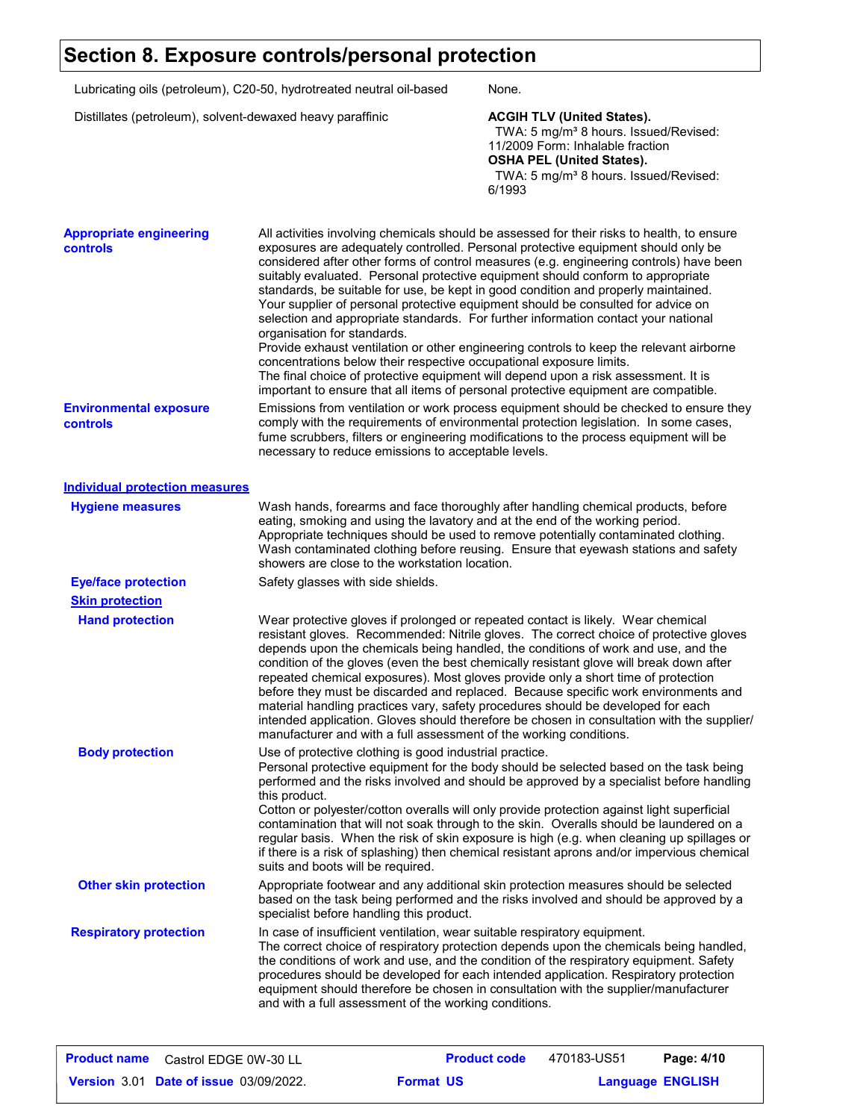### **Section 8. Exposure controls/personal protection**

| Lubricating oils (petroleum), C20-50, hydrotreated neutral oil-based<br>Distillates (petroleum), solvent-dewaxed heavy paraffinic |                                                     | None.<br><b>ACGIH TLV (United States).</b><br>TWA: 5 mg/m <sup>3</sup> 8 hours. Issued/Revised:<br>11/2009 Form: Inhalable fraction<br><b>OSHA PEL (United States).</b><br>TWA: 5 mg/m <sup>3</sup> 8 hours. Issued/Revised:<br>6/1993                                                                                                        |  |                                            |
|-----------------------------------------------------------------------------------------------------------------------------------|-----------------------------------------------------|-----------------------------------------------------------------------------------------------------------------------------------------------------------------------------------------------------------------------------------------------------------------------------------------------------------------------------------------------|--|--------------------------------------------|
|                                                                                                                                   |                                                     |                                                                                                                                                                                                                                                                                                                                               |  | <b>Appropriate engineering</b><br>controls |
| <b>Environmental exposure</b><br><b>controls</b>                                                                                  | necessary to reduce emissions to acceptable levels. | Emissions from ventilation or work process equipment should be checked to ensure they<br>comply with the requirements of environmental protection legislation. In some cases,<br>fume scrubbers, filters or engineering modifications to the process equipment will be                                                                        |  |                                            |
| <b>Individual protection measures</b>                                                                                             |                                                     |                                                                                                                                                                                                                                                                                                                                               |  |                                            |
| <b>Hygiene measures</b>                                                                                                           | showers are close to the workstation location.      | Wash hands, forearms and face thoroughly after handling chemical products, before<br>eating, smoking and using the lavatory and at the end of the working period.<br>Appropriate techniques should be used to remove potentially contaminated clothing.<br>Wash contaminated clothing before reusing. Ensure that eyewash stations and safety |  |                                            |
| <b>Eye/face protection</b>                                                                                                        | Safety glasses with side shields.                   |                                                                                                                                                                                                                                                                                                                                               |  |                                            |
| <b>Skin protection</b>                                                                                                            |                                                     |                                                                                                                                                                                                                                                                                                                                               |  |                                            |

**Hand protection** Wear protective gloves if prolonged or repeated contact is likely. Wear chemical resistant gloves. Recommended: Nitrile gloves. The correct choice of protective gloves depends upon the chemicals being handled, the conditions of work and use, and the condition of the gloves (even the best chemically resistant glove will break down after repeated chemical exposures). Most gloves provide only a short time of protection before they must be discarded and replaced. Because specific work environments and material handling practices vary, safety procedures should be developed for each intended application. Gloves should therefore be chosen in consultation with the supplier/ manufacturer and with a full assessment of the working conditions. **Body protection** Use of protective clothing is good industrial practice.

Personal protective equipment for the body should be selected based on the task being performed and the risks involved and should be approved by a specialist before handling this product. Cotton or polyester/cotton overalls will only provide protection against light superficial

contamination that will not soak through to the skin. Overalls should be laundered on a regular basis. When the risk of skin exposure is high (e.g. when cleaning up spillages or if there is a risk of splashing) then chemical resistant aprons and/or impervious chemical suits and boots will be required.

**Other skin protection** Appropriate footwear and any additional skin protection measures should be selected based on the task being performed and the risks involved and should be approved by a specialist before handling this product.

In case of insufficient ventilation, wear suitable respiratory equipment. The correct choice of respiratory protection depends upon the chemicals being handled, the conditions of work and use, and the condition of the respiratory equipment. Safety procedures should be developed for each intended application. Respiratory protection equipment should therefore be chosen in consultation with the supplier/manufacturer and with a full assessment of the working conditions. **Respiratory protection**

| <b>Product name</b> Castrol EDGE 0W-30 LL     | <b>Product code</b> | 470183-US51 | Page: 4/10              |
|-----------------------------------------------|---------------------|-------------|-------------------------|
| <b>Version 3.01 Date of issue 03/09/2022.</b> | <b>Format US</b>    |             | <b>Language ENGLISH</b> |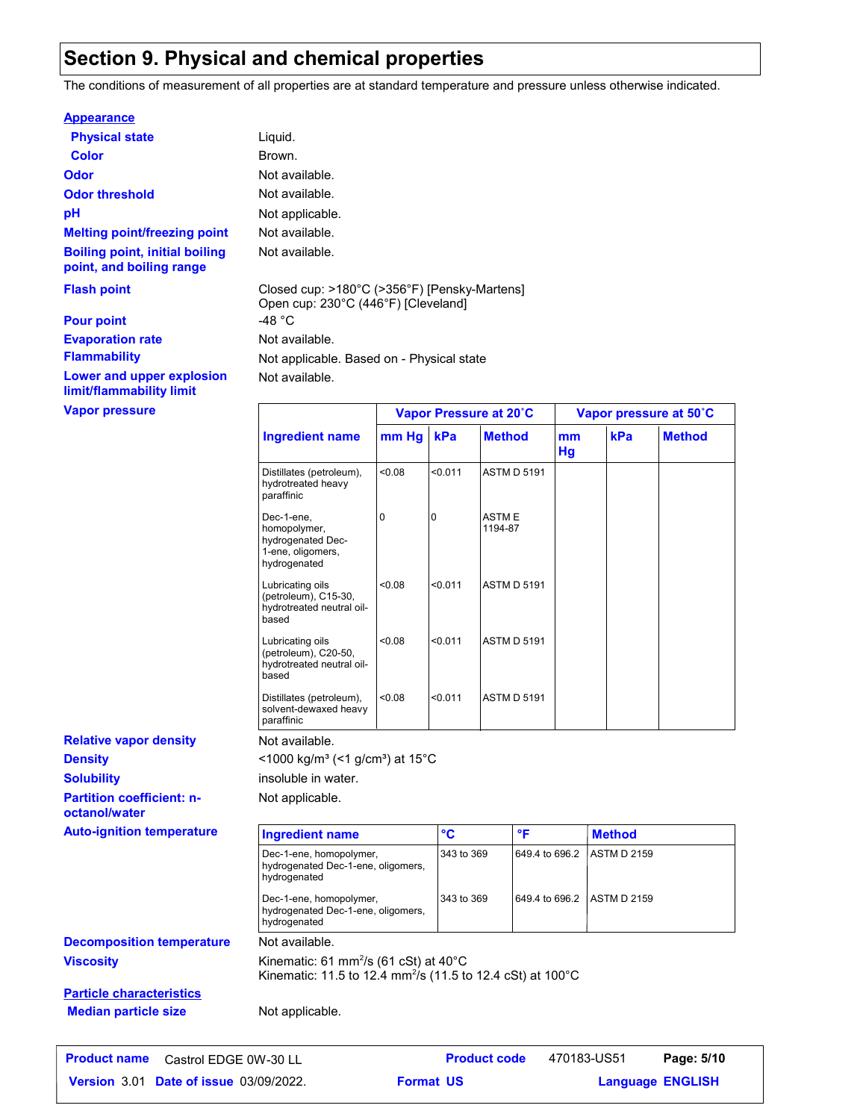### **Section 9. Physical and chemical properties**

Not available.

 $<$ 1000 kg/m<sup>3</sup> (<1 g/cm<sup>3</sup>) at 15°C

Not applicable.

insoluble in water.

The conditions of measurement of all properties are at standard temperature and pressure unless otherwise indicated.

#### **Appearance**

| <b>Physical state</b>                                             | Liquid.                                   |
|-------------------------------------------------------------------|-------------------------------------------|
| Color                                                             | Brown.                                    |
| Odor                                                              | Not available.                            |
| <b>Odor threshold</b>                                             | Not available.                            |
| рH                                                                | Not applicable.                           |
| <b>Melting point/freezing point</b>                               | Not available.                            |
| <b>Boiling point, initial boiling</b><br>point, and boiling range | Not available.                            |
| <b>Flash point</b>                                                | Closed cup: >180°C<br>Open cup: 230°C (44 |
| <b>Pour point</b>                                                 | -48 °C                                    |
| <b>Evaporation rate</b>                                           | Not available.                            |
| <b>Flammability</b>                                               | Not applicable. Base                      |

**Lower and upper explosion limit/flammability limit**

**Vapor pressure**

Not available. pplicable. Based on - Physical state (>356°F) [Pensky-Martens]  $\overline{16}$ °F) [Cleveland]

|                                                                                      | Vapor Pressure at 20°C |         |                         | Vapor pressure at 50°C |     |               |
|--------------------------------------------------------------------------------------|------------------------|---------|-------------------------|------------------------|-----|---------------|
| <b>Ingredient name</b>                                                               | mm Hg                  | kPa     | <b>Method</b>           | mm<br>Hg               | kPa | <b>Method</b> |
| Distillates (petroleum),<br>hydrotreated heavy<br>paraffinic                         | 0.08                   | < 0.011 | <b>ASTM D 5191</b>      |                        |     |               |
| Dec-1-ene,<br>homopolymer,<br>hydrogenated Dec-<br>1-ene, oligomers,<br>hydrogenated | 0                      | 0       | <b>ASTME</b><br>1194-87 |                        |     |               |
| Lubricating oils<br>(petroleum), C15-30,<br>hydrotreated neutral oil-<br>based       | < 0.08                 | < 0.011 | <b>ASTM D 5191</b>      |                        |     |               |
| Lubricating oils<br>(petroleum), C20-50,<br>hydrotreated neutral oil-<br>based       | < 0.08                 | < 0.011 | <b>ASTM D 5191</b>      |                        |     |               |
| Distillates (petroleum),<br>solvent-dewaxed heavy<br>paraffinic                      | < 0.08                 | < 0.011 | <b>ASTM D 5191</b>      |                        |     |               |

**Partition coefficient: noctanol/water Density Solubility Relative vapor density**

**Viscosity Kinematic: 61 mm<sup>2</sup>/s (61 cSt) at 40°C** Kinematic: 11.5 to 12.4 mm<sup>2</sup> /s (11.5 to 12.4 cSt) at 100°C **Decomposition temperature** Not available. **Auto-ignition temperature Ingredient name °C °F Method** Dec-1-ene, homopolymer, Dec-1-ene, homopolymer,<br>hydrogenated Dec-1-ene, oligomers, hydrogenated 649.4 to 696.2 ASTM D 2159 Dec-1-ene, homopolymer, hydrogenated Dec-1-ene, oligomers, hydrogenated 343 to 369 649.4 to 696.2 ASTM D 2159 **Particle characteristics Median particle size** Not applicable.

**Date of issue** 03/09/2022. **Format US State State State State State State State State State State State State State State State State State State State State State State State State State State State State State State Sta Product name** Castrol EDGE 0W-30 LL **Product code** 470183-US51 **Page: 5/10**

470183-US51

**Format US**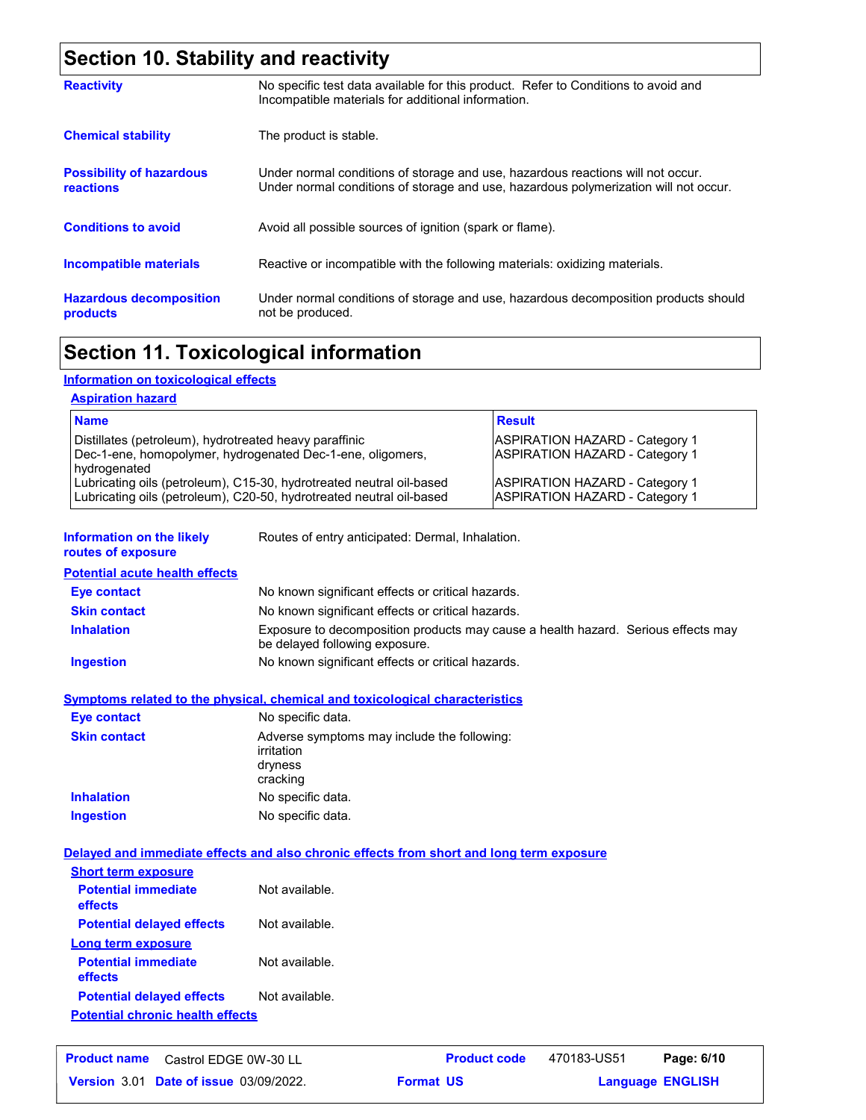### **Section 10. Stability and reactivity**

| <b>Reactivity</b>                                   | No specific test data available for this product. Refer to Conditions to avoid and<br>Incompatible materials for additional information.                                |
|-----------------------------------------------------|-------------------------------------------------------------------------------------------------------------------------------------------------------------------------|
| <b>Chemical stability</b>                           | The product is stable.                                                                                                                                                  |
| <b>Possibility of hazardous</b><br><b>reactions</b> | Under normal conditions of storage and use, hazardous reactions will not occur.<br>Under normal conditions of storage and use, hazardous polymerization will not occur. |
| <b>Conditions to avoid</b>                          | Avoid all possible sources of ignition (spark or flame).                                                                                                                |
| Incompatible materials                              | Reactive or incompatible with the following materials: oxidizing materials.                                                                                             |
| <b>Hazardous decomposition</b><br>products          | Under normal conditions of storage and use, hazardous decomposition products should<br>not be produced.                                                                 |

### **Section 11. Toxicological information**

### **Information on toxicological effects**

#### **Aspiration hazard**

| <b>Name</b>                                                                                                                                  | <b>Result</b>                                                           |
|----------------------------------------------------------------------------------------------------------------------------------------------|-------------------------------------------------------------------------|
| Distillates (petroleum), hydrotreated heavy paraffinic<br>Dec-1-ene, homopolymer, hydrogenated Dec-1-ene, oligomers,<br>hydrogenated         | ASPIRATION HAZARD - Category 1<br>ASPIRATION HAZARD - Category 1        |
| Lubricating oils (petroleum), C15-30, hydrotreated neutral oil-based<br>Lubricating oils (petroleum), C20-50, hydrotreated neutral oil-based | ASPIRATION HAZARD - Category 1<br><b>ASPIRATION HAZARD - Category 1</b> |

**Information on the likely routes of exposure**

Routes of entry anticipated: Dermal, Inhalation.

**Potential acute health effects**

| Eye contact         | No known significant effects or critical hazards.                                                                   |
|---------------------|---------------------------------------------------------------------------------------------------------------------|
| <b>Skin contact</b> | No known significant effects or critical hazards.                                                                   |
| <b>Inhalation</b>   | Exposure to decomposition products may cause a health hazard. Serious effects may<br>be delayed following exposure. |
| <b>Ingestion</b>    | No known significant effects or critical hazards.                                                                   |

#### **Symptoms related to the physical, chemical and toxicological characteristics**

| Eye contact         | No specific data.                                                                |
|---------------------|----------------------------------------------------------------------------------|
| <b>Skin contact</b> | Adverse symptoms may include the following:<br>irritation<br>dryness<br>cracking |
| <b>Inhalation</b>   | No specific data.                                                                |
| <b>Ingestion</b>    | No specific data.                                                                |

#### **Delayed and immediate effects and also chronic effects from short and long term exposure**

| <b>Short term exposure</b>              |                |
|-----------------------------------------|----------------|
| <b>Potential immediate</b><br>effects   | Not available. |
| <b>Potential delayed effects</b>        | Not available. |
| <b>Long term exposure</b>               |                |
| <b>Potential immediate</b><br>effects   | Not available. |
| <b>Potential delayed effects</b>        | Not available. |
| <b>Potential chronic health effects</b> |                |

| <b>Product name</b> | Castrol EDGE 0W-30 LL                         |                  | <b>Product code</b> | 470183-US51             | Page: 6/10 |  |
|---------------------|-----------------------------------------------|------------------|---------------------|-------------------------|------------|--|
|                     | <b>Version 3.01 Date of issue 03/09/2022.</b> | <b>Format US</b> |                     | <b>Language ENGLISH</b> |            |  |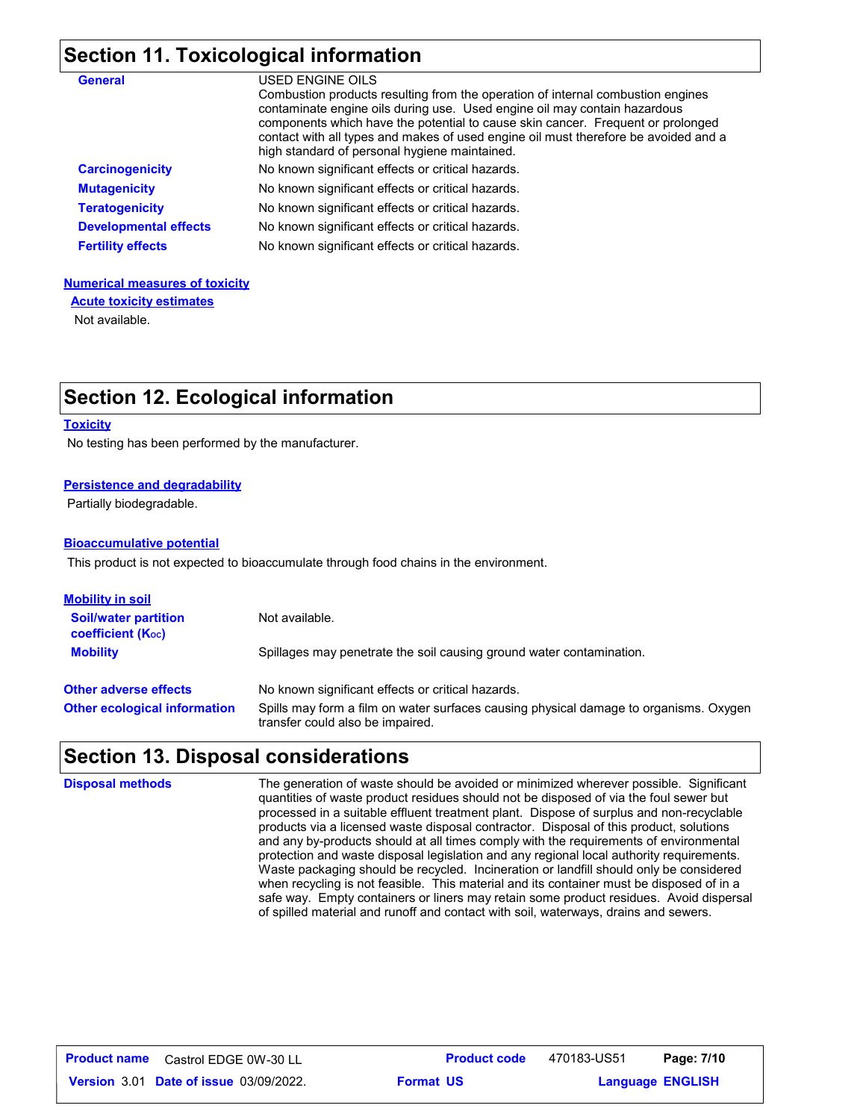## **Section 11. Toxicological information**

| <b>General</b>               | USED ENGINE OILS<br>Combustion products resulting from the operation of internal combustion engines<br>contaminate engine oils during use. Used engine oil may contain hazardous<br>components which have the potential to cause skin cancer. Frequent or prolonged<br>contact with all types and makes of used engine oil must therefore be avoided and a<br>high standard of personal hygiene maintained. |
|------------------------------|-------------------------------------------------------------------------------------------------------------------------------------------------------------------------------------------------------------------------------------------------------------------------------------------------------------------------------------------------------------------------------------------------------------|
| <b>Carcinogenicity</b>       | No known significant effects or critical hazards.                                                                                                                                                                                                                                                                                                                                                           |
| <b>Mutagenicity</b>          | No known significant effects or critical hazards.                                                                                                                                                                                                                                                                                                                                                           |
| <b>Teratogenicity</b>        | No known significant effects or critical hazards.                                                                                                                                                                                                                                                                                                                                                           |
| <b>Developmental effects</b> | No known significant effects or critical hazards.                                                                                                                                                                                                                                                                                                                                                           |
| <b>Fertility effects</b>     | No known significant effects or critical hazards.                                                                                                                                                                                                                                                                                                                                                           |

#### **Numerical measures of toxicity**

**Acute toxicity estimates**

Not available.

### **Section 12. Ecological information**

#### **Toxicity**

No testing has been performed by the manufacturer.

#### **Persistence and degradability**

Partially biodegradable.

#### **Bioaccumulative potential**

This product is not expected to bioaccumulate through food chains in the environment.

| <u>Mobility in soil</u>                                 |                                                                                                                           |
|---------------------------------------------------------|---------------------------------------------------------------------------------------------------------------------------|
| <b>Soil/water partition</b><br><b>coefficient (Koc)</b> | Not available.                                                                                                            |
| <b>Mobility</b>                                         | Spillages may penetrate the soil causing ground water contamination.                                                      |
| <b>Other adverse effects</b>                            | No known significant effects or critical hazards.                                                                         |
| <b>Other ecological information</b>                     | Spills may form a film on water surfaces causing physical damage to organisms. Oxygen<br>transfer could also be impaired. |

### **Section 13. Disposal considerations**

| <b>Disposal methods</b> | The generation of waste should be avoided or minimized wherever possible. Significant<br>quantities of waste product residues should not be disposed of via the foul sewer but<br>processed in a suitable effluent treatment plant. Dispose of surplus and non-recyclable<br>products via a licensed waste disposal contractor. Disposal of this product, solutions<br>and any by-products should at all times comply with the requirements of environmental<br>protection and waste disposal legislation and any regional local authority requirements.<br>Waste packaging should be recycled. Incineration or landfill should only be considered<br>when recycling is not feasible. This material and its container must be disposed of in a<br>safe way. Empty containers or liners may retain some product residues. Avoid dispersal<br>of spilled material and runoff and contact with soil, waterways, drains and sewers. |
|-------------------------|---------------------------------------------------------------------------------------------------------------------------------------------------------------------------------------------------------------------------------------------------------------------------------------------------------------------------------------------------------------------------------------------------------------------------------------------------------------------------------------------------------------------------------------------------------------------------------------------------------------------------------------------------------------------------------------------------------------------------------------------------------------------------------------------------------------------------------------------------------------------------------------------------------------------------------|
|                         |                                                                                                                                                                                                                                                                                                                                                                                                                                                                                                                                                                                                                                                                                                                                                                                                                                                                                                                                 |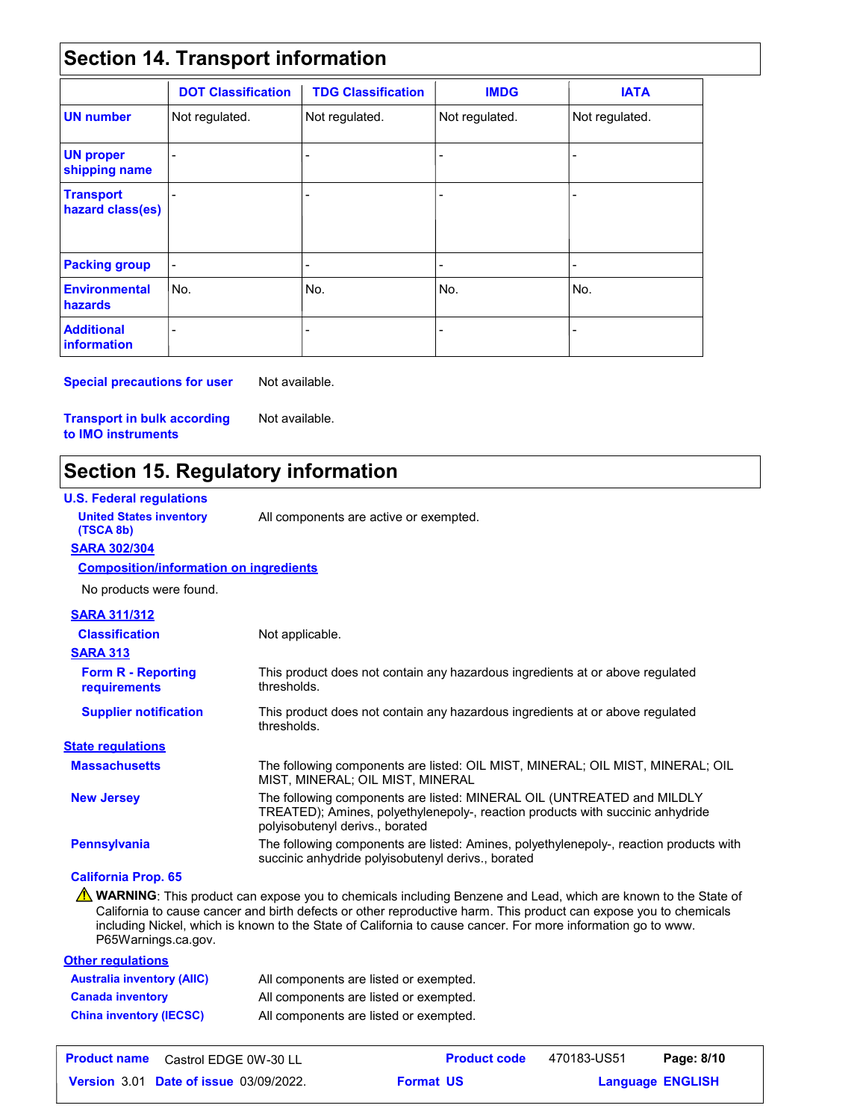### **Section 14. Transport information**

|                                         | <b>DOT Classification</b> | <b>TDG Classification</b> | <b>IMDG</b>    | <b>IATA</b>    |
|-----------------------------------------|---------------------------|---------------------------|----------------|----------------|
| <b>UN number</b>                        | Not regulated.            | Not regulated.            | Not regulated. | Not regulated. |
| <b>UN proper</b><br>shipping name       |                           | -                         | $\overline{a}$ |                |
| <b>Transport</b><br>hazard class(es)    |                           | $\overline{a}$            | $\blacksquare$ |                |
| <b>Packing group</b>                    | $\overline{\phantom{a}}$  | -                         | $\blacksquare$ | ٠              |
| <b>Environmental</b><br>hazards         | No.                       | l No.                     | No.            | No.            |
| <b>Additional</b><br><b>information</b> |                           |                           |                |                |

**Special precautions for user** Not available.

**Transport in bulk according to IMO instruments**

Not available.

### **Section 15. Regulatory information**

| <b>U.S. Federal regulations</b>               |                                                                                                                                                                                                                                                                                                                                                    |
|-----------------------------------------------|----------------------------------------------------------------------------------------------------------------------------------------------------------------------------------------------------------------------------------------------------------------------------------------------------------------------------------------------------|
| <b>United States inventory</b><br>(TSCA 8b)   | All components are active or exempted.                                                                                                                                                                                                                                                                                                             |
| <b>SARA 302/304</b>                           |                                                                                                                                                                                                                                                                                                                                                    |
| <b>Composition/information on ingredients</b> |                                                                                                                                                                                                                                                                                                                                                    |
| No products were found.                       |                                                                                                                                                                                                                                                                                                                                                    |
| <b>SARA 311/312</b>                           |                                                                                                                                                                                                                                                                                                                                                    |
| <b>Classification</b>                         | Not applicable.                                                                                                                                                                                                                                                                                                                                    |
| <b>SARA 313</b>                               |                                                                                                                                                                                                                                                                                                                                                    |
| <b>Form R - Reporting</b><br>requirements     | This product does not contain any hazardous ingredients at or above regulated<br>thresholds.                                                                                                                                                                                                                                                       |
| <b>Supplier notification</b>                  | This product does not contain any hazardous ingredients at or above regulated<br>thresholds.                                                                                                                                                                                                                                                       |
| <b>State regulations</b>                      |                                                                                                                                                                                                                                                                                                                                                    |
| <b>Massachusetts</b>                          | The following components are listed: OIL MIST, MINERAL; OIL MIST, MINERAL; OIL<br>MIST, MINERAL; OIL MIST, MINERAL                                                                                                                                                                                                                                 |
| <b>New Jersey</b>                             | The following components are listed: MINERAL OIL (UNTREATED and MILDLY<br>TREATED); Amines, polyethylenepoly-, reaction products with succinic anhydride<br>polyisobutenyl derivs., borated                                                                                                                                                        |
| <b>Pennsylvania</b>                           | The following components are listed: Amines, polyethylenepoly-, reaction products with<br>succinic anhydride polyisobutenyl derivs., borated                                                                                                                                                                                                       |
| <b>California Prop. 65</b>                    |                                                                                                                                                                                                                                                                                                                                                    |
| P65Warnings.ca.gov.                           | WARNING: This product can expose you to chemicals including Benzene and Lead, which are known to the State of<br>California to cause cancer and birth defects or other reproductive harm. This product can expose you to chemicals<br>including Nickel, which is known to the State of California to cause cancer. For more information go to www. |

| <b>Other regulations</b>          |                                        |
|-----------------------------------|----------------------------------------|
| <b>Australia inventory (AIIC)</b> | All components are listed or exempted. |
| <b>Canada inventory</b>           | All components are listed or exempted. |
| <b>China inventory (IECSC)</b>    | All components are listed or exempted. |

| <b>Product name</b><br>Castrol EDGE 0W-30 LL  | <b>Product code</b> | 470183-US51 | Page: 8/10              |
|-----------------------------------------------|---------------------|-------------|-------------------------|
| <b>Version 3.01 Date of issue 03/09/2022.</b> | <b>Format US</b>    |             | <b>Language ENGLISH</b> |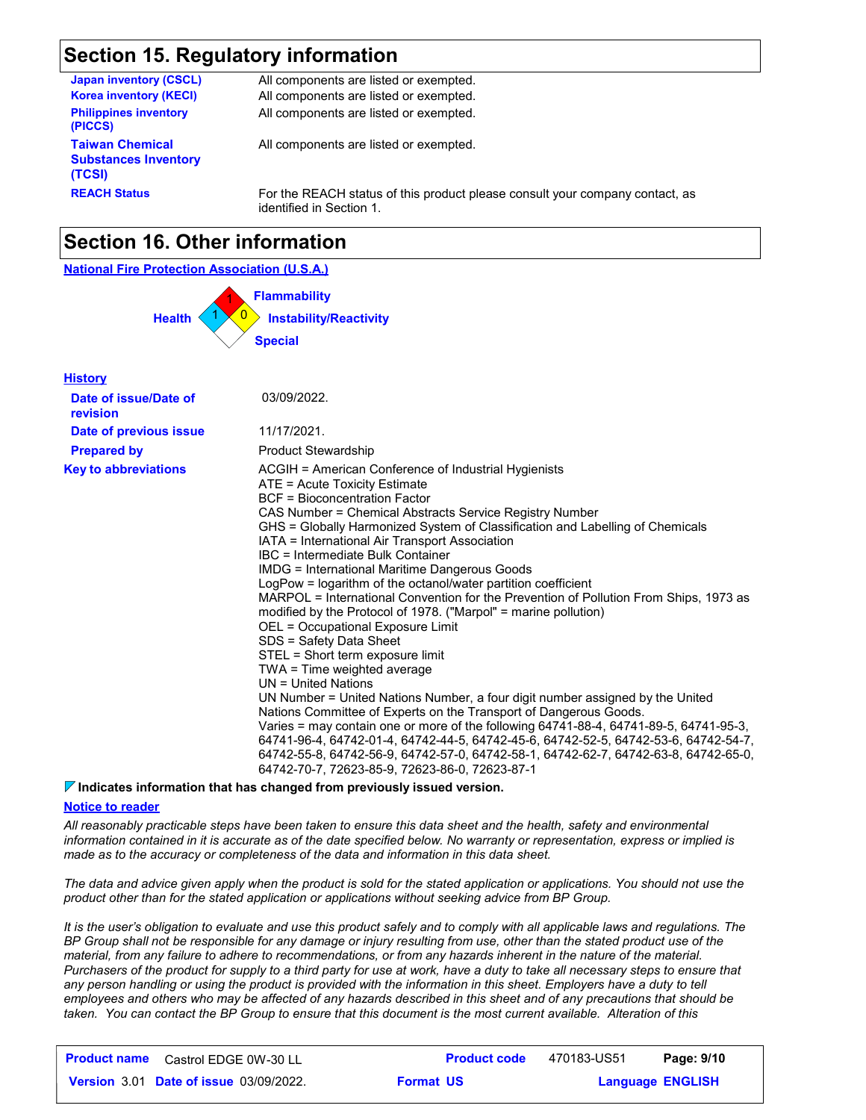### **Section 15. Regulatory information**

| <b>Japan inventory (CSCL)</b>                                   | All components are listed or exempted.                                                                   |
|-----------------------------------------------------------------|----------------------------------------------------------------------------------------------------------|
| <b>Korea inventory (KECI)</b>                                   | All components are listed or exempted.                                                                   |
| <b>Philippines inventory</b><br>(PICCS)                         | All components are listed or exempted.                                                                   |
| <b>Taiwan Chemical</b><br><b>Substances Inventory</b><br>(TCSI) | All components are listed or exempted.                                                                   |
| <b>REACH Status</b>                                             | For the REACH status of this product please consult your company contact, as<br>identified in Section 1. |

### **Section 16. Other information**

#### **National Fire Protection Association (U.S.A.)**



| <b>History</b>                    |                                                                                                                                                                                                                                                                                                                                                                                                                                                                                                                                                                                                                                                                                                                                                                                                                                                                                                                                                                                                                                                                                                                                                                                                                                                                                         |
|-----------------------------------|-----------------------------------------------------------------------------------------------------------------------------------------------------------------------------------------------------------------------------------------------------------------------------------------------------------------------------------------------------------------------------------------------------------------------------------------------------------------------------------------------------------------------------------------------------------------------------------------------------------------------------------------------------------------------------------------------------------------------------------------------------------------------------------------------------------------------------------------------------------------------------------------------------------------------------------------------------------------------------------------------------------------------------------------------------------------------------------------------------------------------------------------------------------------------------------------------------------------------------------------------------------------------------------------|
| Date of issue/Date of<br>revision | 03/09/2022.                                                                                                                                                                                                                                                                                                                                                                                                                                                                                                                                                                                                                                                                                                                                                                                                                                                                                                                                                                                                                                                                                                                                                                                                                                                                             |
| Date of previous issue            | 11/17/2021.                                                                                                                                                                                                                                                                                                                                                                                                                                                                                                                                                                                                                                                                                                                                                                                                                                                                                                                                                                                                                                                                                                                                                                                                                                                                             |
| <b>Prepared by</b>                | <b>Product Stewardship</b>                                                                                                                                                                                                                                                                                                                                                                                                                                                                                                                                                                                                                                                                                                                                                                                                                                                                                                                                                                                                                                                                                                                                                                                                                                                              |
| <b>Key to abbreviations</b>       | ACGIH = American Conference of Industrial Hygienists<br>ATE = Acute Toxicity Estimate<br>BCF = Bioconcentration Factor<br>CAS Number = Chemical Abstracts Service Registry Number<br>GHS = Globally Harmonized System of Classification and Labelling of Chemicals<br>IATA = International Air Transport Association<br>IBC = Intermediate Bulk Container<br><b>IMDG = International Maritime Dangerous Goods</b><br>LogPow = logarithm of the octanol/water partition coefficient<br>MARPOL = International Convention for the Prevention of Pollution From Ships, 1973 as<br>modified by the Protocol of 1978. ("Marpol" = marine pollution)<br>OEL = Occupational Exposure Limit<br>SDS = Safety Data Sheet<br>STEL = Short term exposure limit<br>TWA = Time weighted average<br>UN = United Nations<br>UN Number = United Nations Number, a four digit number assigned by the United<br>Nations Committee of Experts on the Transport of Dangerous Goods.<br>Varies = may contain one or more of the following 64741-88-4, 64741-89-5, 64741-95-3,<br>64741-96-4, 64742-01-4, 64742-44-5, 64742-45-6, 64742-52-5, 64742-53-6, 64742-54-7,<br>64742-55-8, 64742-56-9, 64742-57-0, 64742-58-1, 64742-62-7, 64742-63-8, 64742-65-0,<br>64742-70-7, 72623-85-9, 72623-86-0, 72623-87-1 |

#### **Indicates information that has changed from previously issued version.**

#### **Notice to reader**

*All reasonably practicable steps have been taken to ensure this data sheet and the health, safety and environmental information contained in it is accurate as of the date specified below. No warranty or representation, express or implied is made as to the accuracy or completeness of the data and information in this data sheet.*

*The data and advice given apply when the product is sold for the stated application or applications. You should not use the product other than for the stated application or applications without seeking advice from BP Group.*

*It is the user's obligation to evaluate and use this product safely and to comply with all applicable laws and regulations. The BP Group shall not be responsible for any damage or injury resulting from use, other than the stated product use of the material, from any failure to adhere to recommendations, or from any hazards inherent in the nature of the material. Purchasers of the product for supply to a third party for use at work, have a duty to take all necessary steps to ensure that*  any person handling or using the product is provided with the information in this sheet. Employers have a duty to tell *employees and others who may be affected of any hazards described in this sheet and of any precautions that should be taken. You can contact the BP Group to ensure that this document is the most current available. Alteration of this* 

| <b>Product name</b> Castrol EDGE 0W-30 LL     | <b>Product code</b> | 470183-US51 | Page: 9/10              |
|-----------------------------------------------|---------------------|-------------|-------------------------|
| <b>Version 3.01 Date of issue 03/09/2022.</b> | <b>Format US</b>    |             | <b>Language ENGLISH</b> |